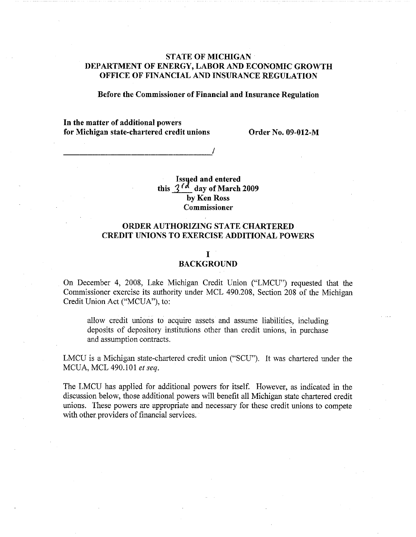# **STATE OF MICHIGAN DEPARTMENT OF ENERGY, LABOR AND ECONOMIC GROWTH OFFICE OF FINANCIAL AND INSURANCE REGULATION**

**Before the Commissioner of Financial and Insurance Regulation** 

**In the matter of additional powers for Michigan state-chartered credit unions Order No. 09-012-M** 

-----------------'/

**Issued and entered** this  $3^{6}$  day of March 2009 **by Ken Ross Commissioner** 

# **ORDER AUTHORIZING STATE CHARTERED CREDIT UNIONS TO EXERCISE ADDITIONAL POWERS**

## I

# **BACKGROUND**

On December 4, 2008, Lake Michigan Credit Union ("LMCU") requested that the Commissioner exercise its authority under MCL 490.208, Section 208 of the Michigan Credit Union Act ("MCUA"), to:

allow credit unions to acquire assets and assume liabilities, including deposits of depository institutions other than credit unions, in purchase and assumption contracts.

LMCU is a Michigan state-chartered credit union ("SCU"). It was chartered under the MCUA, MCL 490.101 *et seq.* 

The LMCU has applied for additional powers for itself. However, as indicated in the discussion below, those additional powers will benefit all Michigan state chartered credit unions. These powers are appropriate and necessary for these credit unions to compete with other providers of financial services.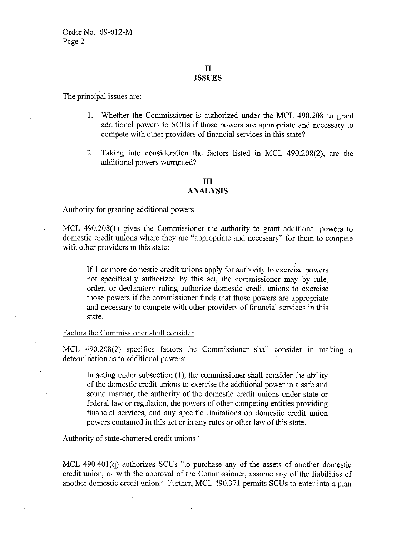II **ISSUES** 

The principal issues are:

- I. Whether the Connnissioner is authorized under the MCL 490.208 to grant additional powers to SCUs if those powers are appropriate and necessary to compete with other providers of financial services in this state?
- 2. Taking into consideration the factors listed in MCL 490.208(2), are the additional powers warranted?

# **III**

# **ANALYSIS**

# Authority for granting additional powers

MCL 490.208(1) gives the Connnissioner the authority to grant additional powers to domestic credit unions where they are "appropriate and necessary" for them to compete with other providers in this state:

If 1 or more domestic credit unions apply for authority to exercise powers not specifically authorized by this act, the commissioner may by rule, order, or declaratory ruling authorize domestic credit unions to exercise those powers if the connnissioner finds that those powers are appropriate and necessary to compete with other providers of financial services in this state.

#### Factors the Commissioner shall consider

MCL 490.208(2) specifies factors the Commissioner shall consider in making a determination as to additional powers:

In acting under subsection (1), the commissioner shall consider the ability of the domestic credit unions to exercise the additional power in a safe and sound manner, the authority of the domestic credit unions under state or federal law or regulation, the powers of other competing entities providing financial services, and any specific limitations on domestic credit union powers contained in this act or in any rules or other law of this state.

#### Authority of state-chartered credit unions

MCL 490.40l(q) authorizes SCUs "to purchase any of the assets of another domestic credit union, or with the approval of the Connnissioner, assume any of the liabilities of another domestic credit union." Further, MCL 490.371 permits SCUs to enter into a plan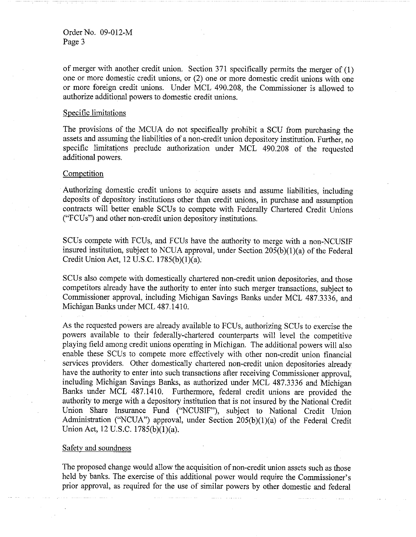of merger with another credit union. Section 371 specifically permits the merger of (1) one or more domestic credit unions, or (2) one or more domestic credit unions with one or more foreign credit unions. Under MCL 490.208, the Commissioner is allowed to authorize additional powers to domestic credit unions.

#### Specific limitations

The provisions of the MCUA do not specifically prohibit a SCU from purchasing the assets and assuming the liabilities of a non-credit union depository institution. Further, no specific limitations preclude authorization under MCL 490.208 of the requested additional powers.

#### Competition

Authorizing domestic credit unions to acquire assets and assume liabilities, including deposits of depository institutions other than credit unions, in purchase and assumption contracts will better enable SCUs to compete with Federally Chartered Credit Unions ("FCUs") and other non-credit union depository institutions.

SCUs compete with FCUs, and FCUs have the authority to merge with a non-NCUSIF insured institution, subject to NCUA approval, under Section  $205(b)(1)(a)$  of the Federal Credit Union Act, 12 U.S.C. 1785(b)(1)(a);

SCUs also compete with domestically chartered non-credit union depositories, and those competitors already have the authority to enter into such merger transactions, subject to Commissioner approval, including Michigan Savings Banks under MCL 487.3336, and Michigan Banks under MCL 487.1410.

As the requested powers are already available to FCUs, authorizing SCUs to exercise the powers available to their federally-chartered counterparts will level the competitive playing field among credit unions operating in Michigan. The additional powers will also enable these SCUs to compete more effectively with other non-credit union financial services providers. Other domestically chartered non-credit union depositories already have the authority to enter into such transactions after receiving Commissioner approval, including Michigan Savings Banks, as authorized under MCL 487.3336 and Michigan Banks under MCL 487.1410. Furthermore, federal credit unions are provided the authority to merge with a depository institution that is not insured by the National Credit Union Share Insurance Fund ("NCUSIF"), subject to National Credit Union Administration ("NCUA") approval, under Section 205(b)(l)(a) of the Federal Credit Union Act, 12 U.S.C. 1785(b)(1)(a).

#### Safety and soundness

The proposed change would allow the acquisition of non-credit union assets such as those held by banks. The exercise of this additional power would require the Commissioner's prior approval, as required for the use of similar powers by other domestic and federal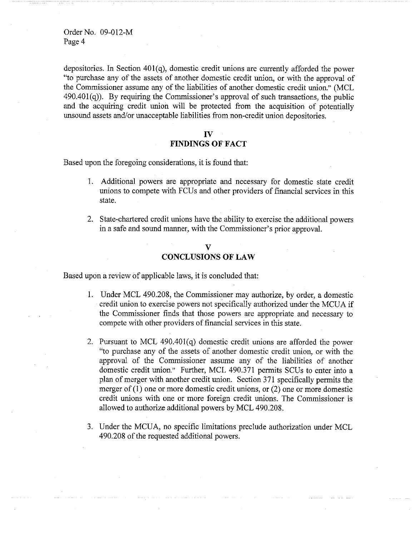Order No. 09-012-M Page 4

depositories. In Section 401(q), domestic credit unions are currently afforded the power "to purchase any of the assets of another domestic credit union, or with the approval of the Commissioner assume any of the liabilities of another domestic credit union." (MCL  $490.401(q)$ ). By requiring the Commissioner's approval of such transactions, the public and the acquiring credit union will be protected from the acquisition of potentially unsound assets and/or unacceptable liabilities from non-credit union depositories.

#### **IV**

# **FINDINGS OF FACT**

Based upon the foregoing considerations, it is found that:

- 1. Additional powers are appropriate and necessary for domestic state credit unions to compete with FCUs and other providers of financial services in this state.
- 2. State-chartered credit unions have the ability to exercise the additional powers in a safe and sound manner, with the Commissioner's prior approval.

## **V CONCLUSIONS OF LAW**

Based upon a review of applicable laws, it is concluded that:

- 1. Under MCL 490.208, the Commissioner may authorize, by order, a domestic credit union to exercise powers not specifically authorized under the MCUA if the Commissioner finds that those powers are appropriate and necessary to compete with other providers of financial services in this state.
- 2. Pursuant to MCL  $490.401(q)$  domestic credit unions are afforded the power "to purchase any of the assets of another domestic credit union, or with the approval of the Commissioner assume any of the liabilities of another domestic credit union." Further, MCL 490.371 permits SCUs to enter into a plan of merger with another credit union. Section 371 specifically permits the merger of  $(1)$  one or more domestic credit unions, or  $(2)$  one or more domestic credit unions with one or more foreign credit unions. The Commissioner is allowed to authorize additional powers by MCL 490.208.
- 3. Under the MCUA, no specific limitations preclude authorization under MCL 490.208 of the requested additional powers.